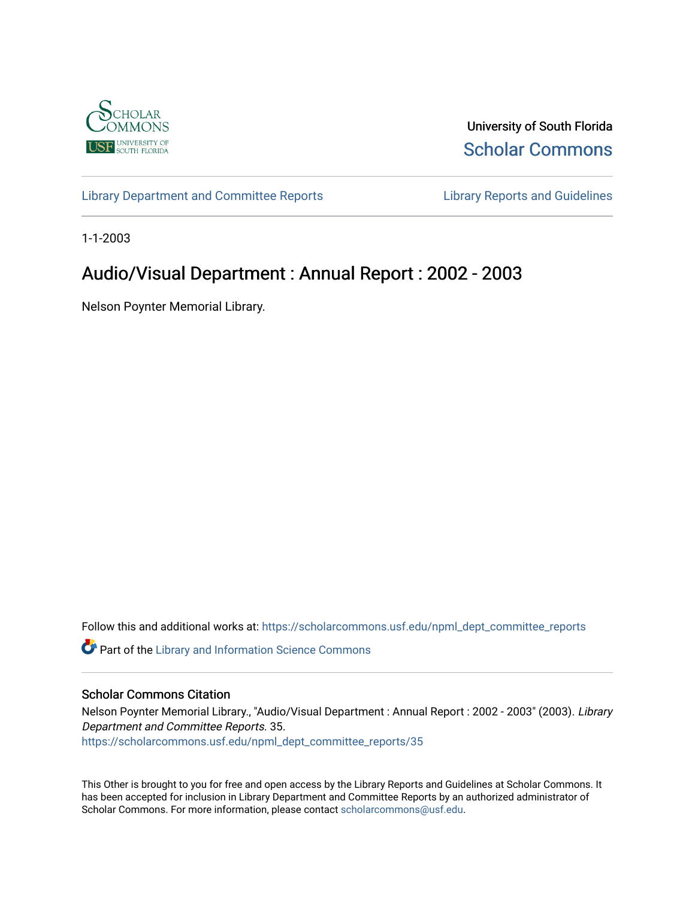

University of South Florida [Scholar Commons](https://scholarcommons.usf.edu/) 

[Library Department and Committee Reports](https://scholarcommons.usf.edu/npml_dept_committee_reports) [Library Reports and Guidelines](https://scholarcommons.usf.edu/npml_reports_guidelines_instruct_materials) 

1-1-2003

# Audio/Visual Department : Annual Report : 2002 - 2003

Nelson Poynter Memorial Library.

Follow this and additional works at: [https://scholarcommons.usf.edu/npml\\_dept\\_committee\\_reports](https://scholarcommons.usf.edu/npml_dept_committee_reports?utm_source=scholarcommons.usf.edu%2Fnpml_dept_committee_reports%2F35&utm_medium=PDF&utm_campaign=PDFCoverPages)

Part of the [Library and Information Science Commons](http://network.bepress.com/hgg/discipline/1018?utm_source=scholarcommons.usf.edu%2Fnpml_dept_committee_reports%2F35&utm_medium=PDF&utm_campaign=PDFCoverPages) 

#### Scholar Commons Citation

Nelson Poynter Memorial Library., "Audio/Visual Department : Annual Report : 2002 - 2003" (2003). Library Department and Committee Reports. 35. [https://scholarcommons.usf.edu/npml\\_dept\\_committee\\_reports/35](https://scholarcommons.usf.edu/npml_dept_committee_reports/35?utm_source=scholarcommons.usf.edu%2Fnpml_dept_committee_reports%2F35&utm_medium=PDF&utm_campaign=PDFCoverPages) 

This Other is brought to you for free and open access by the Library Reports and Guidelines at Scholar Commons. It has been accepted for inclusion in Library Department and Committee Reports by an authorized administrator of Scholar Commons. For more information, please contact [scholarcommons@usf.edu](mailto:scholarcommons@usf.edu).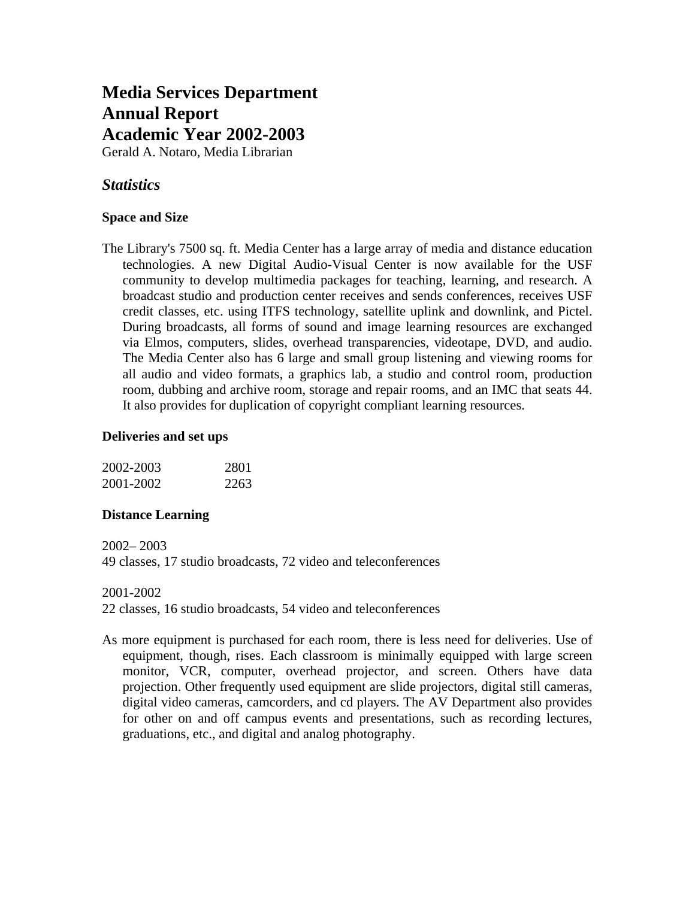# **Media Services Department Annual Report Academic Year 2002-2003**

Gerald A. Notaro, Media Librarian

## *Statistics*

## **Space and Size**

The Library's 7500 sq. ft. Media Center has a large array of media and distance education technologies. A new Digital Audio-Visual Center is now available for the USF community to develop multimedia packages for teaching, learning, and research. A broadcast studio and production center receives and sends conferences, receives USF credit classes, etc. using ITFS technology, satellite uplink and downlink, and Pictel. During broadcasts, all forms of sound and image learning resources are exchanged via Elmos, computers, slides, overhead transparencies, videotape, DVD, and audio. The Media Center also has 6 large and small group listening and viewing rooms for all audio and video formats, a graphics lab, a studio and control room, production room, dubbing and archive room, storage and repair rooms, and an IMC that seats 44. It also provides for duplication of copyright compliant learning resources.

#### **Deliveries and set ups**

| 2002-2003 | 2801 |
|-----------|------|
| 2001-2002 | 2263 |

### **Distance Learning**

2002– 2003 49 classes, 17 studio broadcasts, 72 video and teleconferences

#### 2001-2002

22 classes, 16 studio broadcasts, 54 video and teleconferences

As more equipment is purchased for each room, there is less need for deliveries. Use of equipment, though, rises. Each classroom is minimally equipped with large screen monitor, VCR, computer, overhead projector, and screen. Others have data projection. Other frequently used equipment are slide projectors, digital still cameras, digital video cameras, camcorders, and cd players. The AV Department also provides for other on and off campus events and presentations, such as recording lectures, graduations, etc., and digital and analog photography.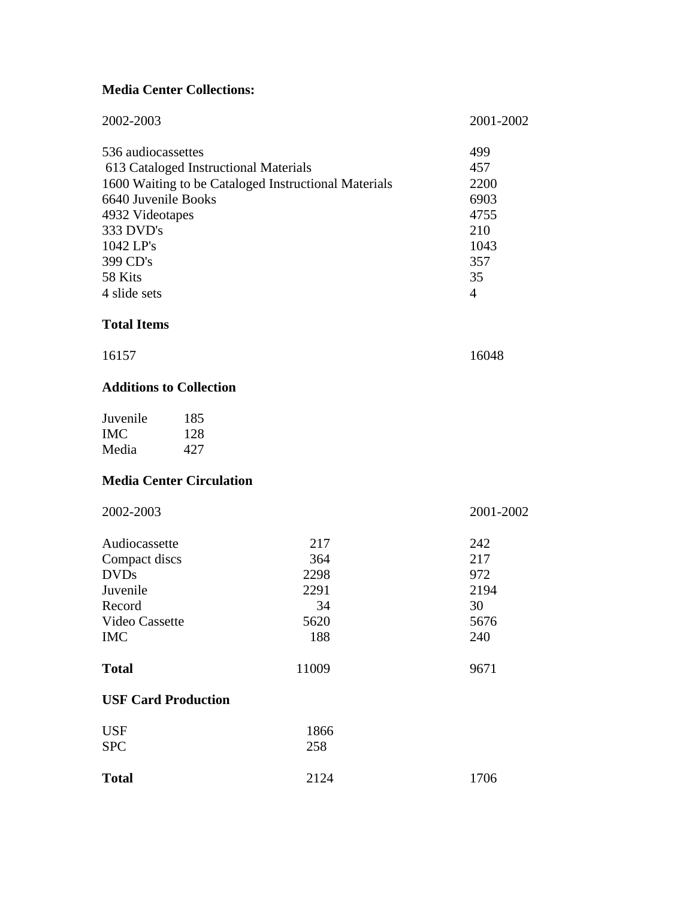# **Media Center Collections:**

| 2002-2003                                                                                                                     |                                                                                               |                                                 | 2001-2002                                                                        |
|-------------------------------------------------------------------------------------------------------------------------------|-----------------------------------------------------------------------------------------------|-------------------------------------------------|----------------------------------------------------------------------------------|
| 536 audiocassettes<br>6640 Juvenile Books<br>4932 Videotapes<br>333 DVD's<br>1042 LP's<br>399 CD's<br>58 Kits<br>4 slide sets | 613 Cataloged Instructional Materials<br>1600 Waiting to be Cataloged Instructional Materials |                                                 | 499<br>457<br>2200<br>6903<br>4755<br>210<br>1043<br>357<br>35<br>$\overline{4}$ |
| <b>Total Items</b>                                                                                                            |                                                                                               |                                                 |                                                                                  |
| 16157                                                                                                                         |                                                                                               |                                                 | 16048                                                                            |
|                                                                                                                               | <b>Additions to Collection</b>                                                                |                                                 |                                                                                  |
| Juvenile<br><b>IMC</b><br>Media                                                                                               | 185<br>128<br>427                                                                             |                                                 |                                                                                  |
|                                                                                                                               | <b>Media Center Circulation</b>                                                               |                                                 |                                                                                  |
| 2002-2003                                                                                                                     |                                                                                               |                                                 | 2001-2002                                                                        |
| Audiocassette<br>Compact discs<br><b>DVDs</b><br>Juvenile<br>Record<br>Video Cassette<br><b>IMC</b>                           |                                                                                               | 217<br>364<br>2298<br>2291<br>34<br>5620<br>188 | 242<br>217<br>972<br>2194<br>30<br>5676<br>240                                   |
| <b>Total</b>                                                                                                                  |                                                                                               | 11009                                           | 9671                                                                             |
|                                                                                                                               | <b>USF Card Production</b>                                                                    |                                                 |                                                                                  |
| <b>USF</b><br><b>SPC</b>                                                                                                      |                                                                                               | 1866<br>258                                     |                                                                                  |
| <b>Total</b>                                                                                                                  |                                                                                               | 2124                                            | 1706                                                                             |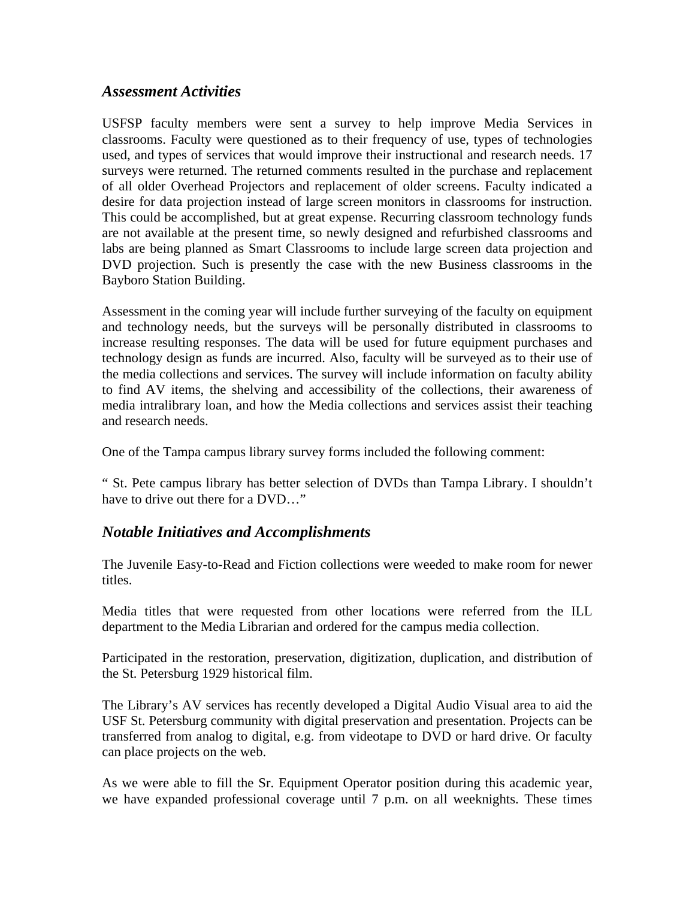## *Assessment Activities*

USFSP faculty members were sent a survey to help improve Media Services in classrooms. Faculty were questioned as to their frequency of use, types of technologies used, and types of services that would improve their instructional and research needs. 17 surveys were returned. The returned comments resulted in the purchase and replacement of all older Overhead Projectors and replacement of older screens. Faculty indicated a desire for data projection instead of large screen monitors in classrooms for instruction. This could be accomplished, but at great expense. Recurring classroom technology funds are not available at the present time, so newly designed and refurbished classrooms and labs are being planned as Smart Classrooms to include large screen data projection and DVD projection. Such is presently the case with the new Business classrooms in the Bayboro Station Building.

Assessment in the coming year will include further surveying of the faculty on equipment and technology needs, but the surveys will be personally distributed in classrooms to increase resulting responses. The data will be used for future equipment purchases and technology design as funds are incurred. Also, faculty will be surveyed as to their use of the media collections and services. The survey will include information on faculty ability to find AV items, the shelving and accessibility of the collections, their awareness of media intralibrary loan, and how the Media collections and services assist their teaching and research needs.

One of the Tampa campus library survey forms included the following comment:

" St. Pete campus library has better selection of DVDs than Tampa Library. I shouldn't have to drive out there for a DVD…"

## *Notable Initiatives and Accomplishments*

The Juvenile Easy-to-Read and Fiction collections were weeded to make room for newer titles.

Media titles that were requested from other locations were referred from the ILL department to the Media Librarian and ordered for the campus media collection.

Participated in the restoration, preservation, digitization, duplication, and distribution of the St. Petersburg 1929 historical film.

The Library's AV services has recently developed a Digital Audio Visual area to aid the USF St. Petersburg community with digital preservation and presentation. Projects can be transferred from analog to digital, e.g. from videotape to DVD or hard drive. Or faculty can place projects on the web.

As we were able to fill the Sr. Equipment Operator position during this academic year, we have expanded professional coverage until 7 p.m. on all weeknights. These times